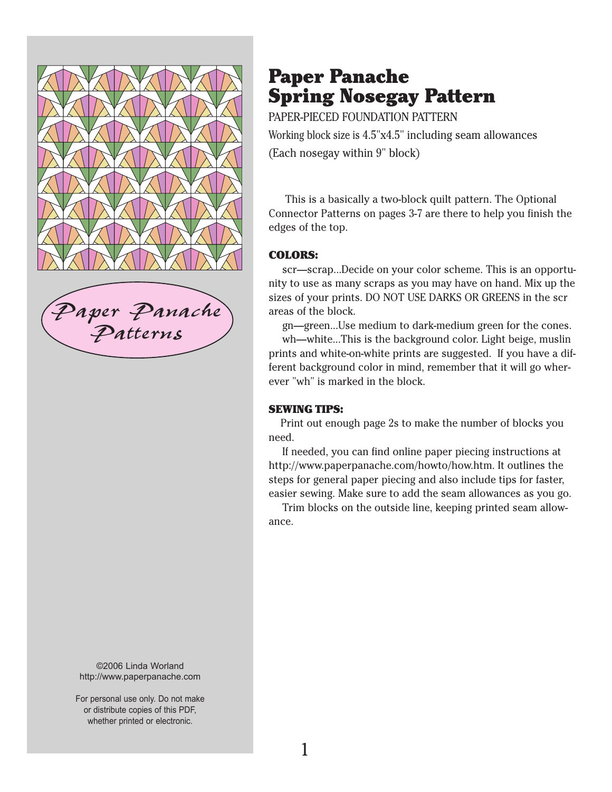

[Paper Panache](http://www.paperpanache.com/) Patterns

©2006 Linda Worland http://www.paperpanache.com

For personal use only. Do not make or distribute copies of this PDF, whether printed or electronic.

## Paper Panache Spring Nosegay Pattern

PAPER-PIECED FOUNDATION PATTERN Working block size is 4.5"x4.5" including seam allowances (Each nosegay within 9" block)

 This is a basically a two-block quilt pattern. The Optional Connector Patterns on pages 3-7 are there to help you finish the edges of the top.

#### COLORS:

 scr—scrap...Decide on your color scheme. This is an opportunity to use as many scraps as you may have on hand. Mix up the sizes of your prints. DO NOT USE DARKS OR GREENS in the scr areas of the block.

 gn—green...Use medium to dark-medium green for the cones. wh—white...This is the background color. Light beige, muslin prints and white-on-white prints are suggested. If you have a different background color in mind, remember that it will go wherever "wh" is marked in the block.

#### SEWING TIPS:

 Print out enough page 2s to make the number of blocks you need.

 If needed, you can find online paper piecing instructions at http://www.paperpanache.com/howto/how.htm. It outlines the steps for general paper piecing and also include tips for faster, easier sewing. Make sure to add the seam allowances as you go.

 Trim blocks on the outside line, keeping printed seam allowance.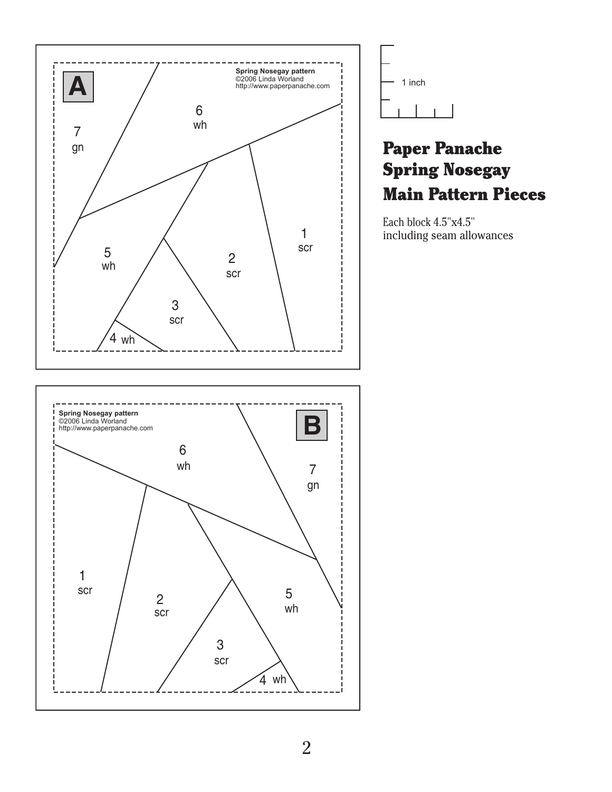



## Paper Panache Spring Nosegay Main Pattern Pieces

Each block 4.5"x4.5" including seam allowances

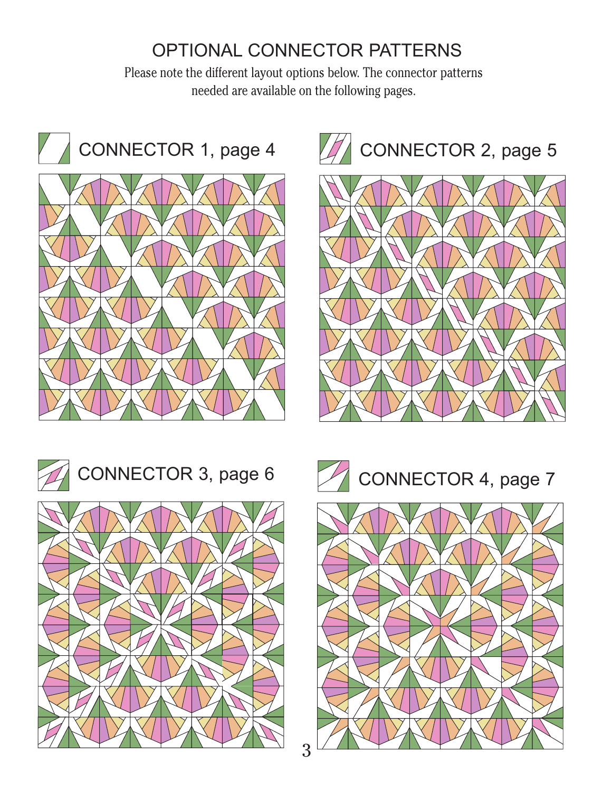# OPTIONAL CONNECTOR PATTERNS

Please note the different layout options below. The connector patterns needed are available on the following pages.











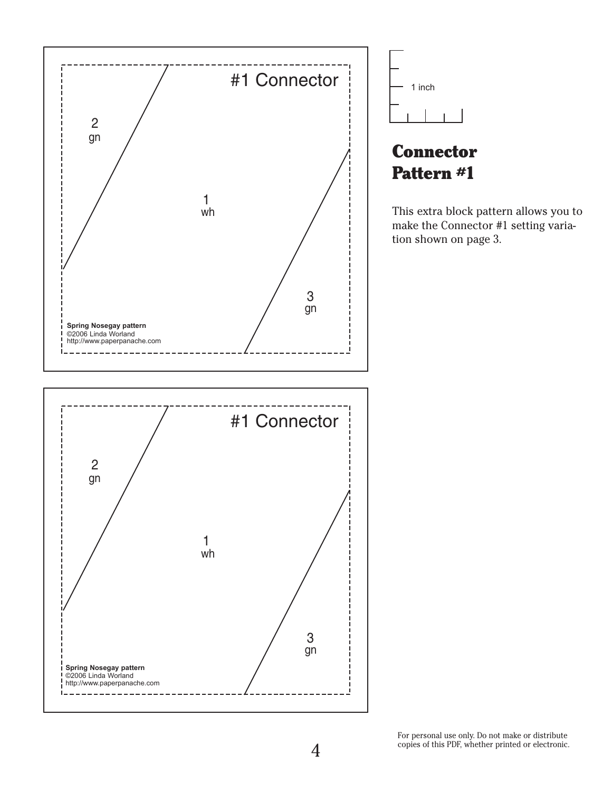



This extra block pattern allows you to make the Connector #1 setting variation shown on page 3.

For personal use only. Do not make or distribute copies of this PDF, whether printed or electronic.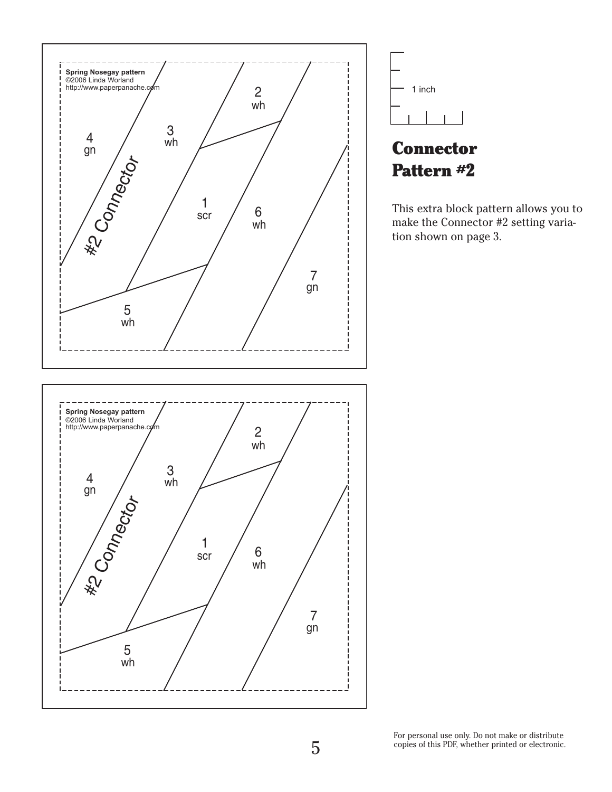



This extra block pattern allows you to make the Connector #2 setting varia-

For personal use only. Do not make or distribute copies of this PDF, whether printed or electronic.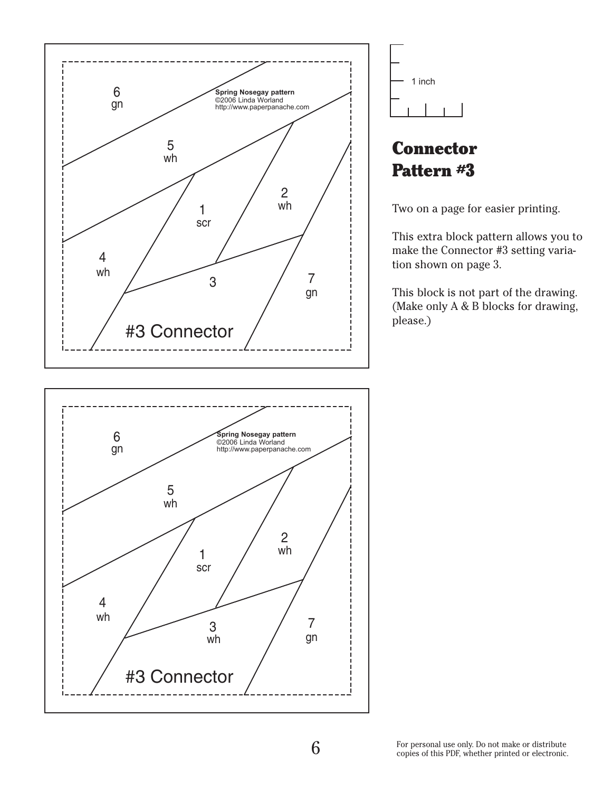





Two on a page for easier printing.

This extra block pattern allows you to make the Connector #3 setting variation shown on page 3.

This block is not part of the drawing. (Make only A & B blocks for drawing, please.)